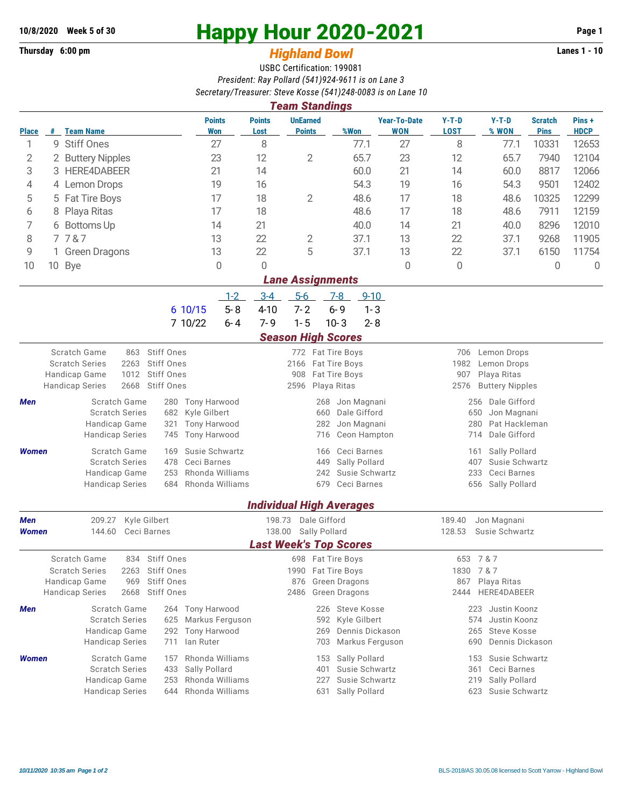## **Thursday 6:00 pm** *Highland Bowl* **Lanes 1 - 10**

## **10/8/2020 Week 5 of 30 Happy Hour 2020-2021 Page 1**

## USBC Certification: 199081 *President: Ray Pollard (541)924-9611 is on Lane 3 Secretary/Treasurer: Steve Kosse (541)248-0083 is on Lane 10*

| <b>Team Standings</b>                |                                           |                                                       |                                                   |                                                           |                                                |                                   |                                            |                                        |                               |                      |  |  |  |  |
|--------------------------------------|-------------------------------------------|-------------------------------------------------------|---------------------------------------------------|-----------------------------------------------------------|------------------------------------------------|-----------------------------------|--------------------------------------------|----------------------------------------|-------------------------------|----------------------|--|--|--|--|
| Place                                |                                           | # Team Name                                           | <b>Points</b><br>Won                              | <b>Points</b><br><b>UnEarned</b><br><b>Points</b><br>Lost | %Won                                           | <b>Year-To-Date</b><br><b>WON</b> | $Y-T-D$<br><b>LOST</b>                     | $Y-T-D$<br>% WON                       | <b>Scratch</b><br><b>Pins</b> | Pins+<br><b>HDCP</b> |  |  |  |  |
| 1                                    | 9                                         | <b>Stiff Ones</b>                                     | 27                                                | 8                                                         | 77.1                                           | 27                                | 8                                          | 77.1                                   | 10331                         | 12653                |  |  |  |  |
| 2                                    |                                           | 2 Buttery Nipples                                     | 12                                                | $\mathbf{2}$<br>65.7                                      | 23                                             | 12                                | 65.7                                       | 7940                                   | 12104                         |                      |  |  |  |  |
| 3                                    |                                           | 21<br>3 HERE4DABEER                                   |                                                   | 14                                                        | 60.0                                           | 21                                | 14                                         | 60.0                                   | 8817                          | 12066                |  |  |  |  |
| 4                                    |                                           | 4 Lemon Drops                                         | 16                                                | 54.3<br>19                                                |                                                |                                   | 54.3<br>9501<br>12402                      |                                        |                               |                      |  |  |  |  |
| 5                                    |                                           | 5 Fat Tire Boys                                       | 17                                                | 18                                                        | $\overline{2}$<br>48.6                         | 17                                | 18                                         | 48.6                                   | 10325                         | 12299                |  |  |  |  |
| 6                                    | 8                                         | Playa Ritas                                           | 17                                                | 18                                                        | 48.6                                           | 17                                | 18                                         | 48.6                                   | 7911                          | 12159                |  |  |  |  |
| 7                                    |                                           | 6 Bottoms Up                                          | 14                                                | 21                                                        | 40.0                                           | 14                                | 21                                         | 40.0                                   | 8296                          | 12010                |  |  |  |  |
| 8                                    | 7787<br>13                                |                                                       |                                                   | 22                                                        | 2<br>37.1                                      | 13                                | 22                                         | 37.1                                   | 9268                          | 11905                |  |  |  |  |
| 9                                    |                                           | 1 Green Dragons                                       | 13                                                | 22                                                        | 5<br>37.1                                      | 13                                | 22                                         | 37.1                                   | 6150                          | 11754                |  |  |  |  |
| 10                                   |                                           | 10 Bye                                                | 0                                                 | 0                                                         |                                                | $\mathbf 0$                       | 0                                          |                                        | $\mathbf 0$                   | $\overline{0}$       |  |  |  |  |
|                                      | <b>Lane Assignments</b>                   |                                                       |                                                   |                                                           |                                                |                                   |                                            |                                        |                               |                      |  |  |  |  |
|                                      |                                           |                                                       | $1 - 2$                                           | $5-6$<br>$3 - 4$                                          | $7-8$<br>$9 - 10$                              |                                   |                                            |                                        |                               |                      |  |  |  |  |
|                                      |                                           |                                                       | $5 - 8$<br>6 10/15                                | $7 - 2$<br>$4 - 10$                                       | $6 - 9$                                        | $1 - 3$                           |                                            |                                        |                               |                      |  |  |  |  |
|                                      |                                           |                                                       | 7 10/22<br>$6 - 4$                                | $1 - 5$<br>$7 - 9$                                        | $10 - 3$                                       | $2 - 8$                           |                                            |                                        |                               |                      |  |  |  |  |
|                                      | <b>Season High Scores</b><br>Scratch Game |                                                       |                                                   |                                                           |                                                |                                   |                                            |                                        |                               |                      |  |  |  |  |
|                                      |                                           | 863<br><b>Scratch Series</b><br>2263                  | Stiff Ones<br>Stiff Ones                          | 2166                                                      | 772 Fat Tire Boys<br>Fat Tire Boys             |                                   | 706<br>1982                                | Lemon Drops<br>Lemon Drops             |                               |                      |  |  |  |  |
|                                      |                                           | Handicap Game<br>1012                                 | Stiff Ones                                        | 908                                                       | Fat Tire Boys                                  |                                   |                                            | 907<br>Playa Ritas                     |                               |                      |  |  |  |  |
|                                      |                                           | 2668<br><b>Handicap Series</b>                        | Stiff Ones                                        | 2596                                                      | Playa Ritas                                    |                                   | 2576                                       | <b>Buttery Nipples</b>                 |                               |                      |  |  |  |  |
| Men                                  |                                           | Scratch Game                                          | Tony Harwood<br>280                               |                                                           | Jon Magnani<br>268                             |                                   | 256<br>Dale Gifford                        |                                        |                               |                      |  |  |  |  |
|                                      |                                           | <b>Scratch Series</b>                                 | Kyle Gilbert<br>682                               | Dale Gifford<br>660<br>Jon Magnani                        |                                                |                                   | 650<br>Jon Magnani<br>Pat Hackleman<br>280 |                                        |                               |                      |  |  |  |  |
|                                      |                                           | Handicap Game<br><b>Handicap Series</b>               | Tony Harwood<br>321<br><b>Tony Harwood</b><br>745 |                                                           | 282<br>Ceon Hampton<br>716                     |                                   | Dale Gifford<br>714                        |                                        |                               |                      |  |  |  |  |
| <b>Women</b>                         |                                           | Scratch Game                                          | Susie Schwartz<br>169                             |                                                           | Ceci Barnes<br>166                             |                                   | 161                                        | Sally Pollard                          |                               |                      |  |  |  |  |
|                                      |                                           | <b>Scratch Series</b>                                 | Ceci Barnes<br>478                                |                                                           | Sally Pollard<br>449                           |                                   | 407                                        | Susie Schwartz                         |                               |                      |  |  |  |  |
|                                      |                                           | Handicap Game                                         | 253<br>Rhonda Williams                            |                                                           | Susie Schwartz<br>242                          |                                   | 233                                        | Ceci Barnes                            |                               |                      |  |  |  |  |
|                                      |                                           | <b>Handicap Series</b>                                | Rhonda Williams<br>684                            |                                                           | 679<br>Ceci Barnes                             |                                   |                                            | 656 Sally Pollard                      |                               |                      |  |  |  |  |
|                                      |                                           |                                                       |                                                   |                                                           | <b>Individual High Averages</b>                |                                   |                                            |                                        |                               |                      |  |  |  |  |
| 209.27<br>Kyle Gilbert<br><b>Men</b> |                                           |                                                       | 198.73                                            | Dale Gifford                                              |                                                | 189.40<br>Jon Magnani             |                                            |                                        |                               |                      |  |  |  |  |
| <b>Women</b>                         |                                           | 144.60                                                | Ceci Barnes                                       | 138.00                                                    | Sally Pollard                                  |                                   | 128.53<br>Susie Schwartz                   |                                        |                               |                      |  |  |  |  |
|                                      |                                           |                                                       |                                                   |                                                           | <b>Last Week's Top Scores</b>                  |                                   |                                            |                                        |                               |                      |  |  |  |  |
|                                      |                                           | Scratch Game<br>834                                   | Stiff Ones                                        |                                                           | 698 Fat Tire Boys                              | 653 7 & 7                         |                                            |                                        |                               |                      |  |  |  |  |
|                                      |                                           | <b>Scratch Series</b><br>2263<br>Handicap Game<br>969 | <b>Stiff Ones</b><br><b>Stiff Ones</b>            |                                                           | 1990 Fat Tire Boys<br>876 Green Dragons        |                                   | 1830 7 & 7                                 |                                        |                               |                      |  |  |  |  |
|                                      |                                           | 2668<br><b>Handicap Series</b>                        | Stiff Ones                                        |                                                           | 2486 Green Dragons                             |                                   |                                            | Playa Ritas<br>867<br>2444 HERE4DABEER |                               |                      |  |  |  |  |
| <b>Men</b>                           |                                           | Scratch Game                                          | Tony Harwood<br>264                               |                                                           | 226 Steve Kosse                                |                                   | 223                                        | Justin Koonz                           |                               |                      |  |  |  |  |
|                                      |                                           | <b>Scratch Series</b>                                 | Markus Ferguson<br>625                            |                                                           | Kyle Gilbert<br>592                            |                                   | Justin Koonz<br>574                        |                                        |                               |                      |  |  |  |  |
|                                      |                                           | Handicap Game                                         | <b>Tony Harwood</b><br>292                        |                                                           | Dennis Dickason<br>269                         |                                   | 265                                        | Steve Kosse                            |                               |                      |  |  |  |  |
|                                      |                                           | <b>Handicap Series</b>                                | lan Ruter<br>711                                  |                                                           | Markus Ferguson<br>703                         |                                   | 690                                        | Dennis Dickason                        |                               |                      |  |  |  |  |
| <b>Women</b>                         |                                           | Scratch Game                                          | Rhonda Williams<br>157                            |                                                           | Sally Pollard<br>153                           |                                   | 153                                        | Susie Schwartz                         |                               |                      |  |  |  |  |
|                                      |                                           | <b>Scratch Series</b><br>Handicap Game                | Sally Pollard<br>433<br>Rhonda Williams<br>253    |                                                           | Susie Schwartz<br>401<br>Susie Schwartz<br>227 |                                   | Ceci Barnes<br>361<br>Sally Pollard<br>219 |                                        |                               |                      |  |  |  |  |
|                                      |                                           | <b>Handicap Series</b>                                | Rhonda Williams<br>644                            |                                                           | Sally Pollard<br>631                           |                                   | Susie Schwartz<br>623                      |                                        |                               |                      |  |  |  |  |
|                                      |                                           |                                                       |                                                   |                                                           |                                                |                                   |                                            |                                        |                               |                      |  |  |  |  |